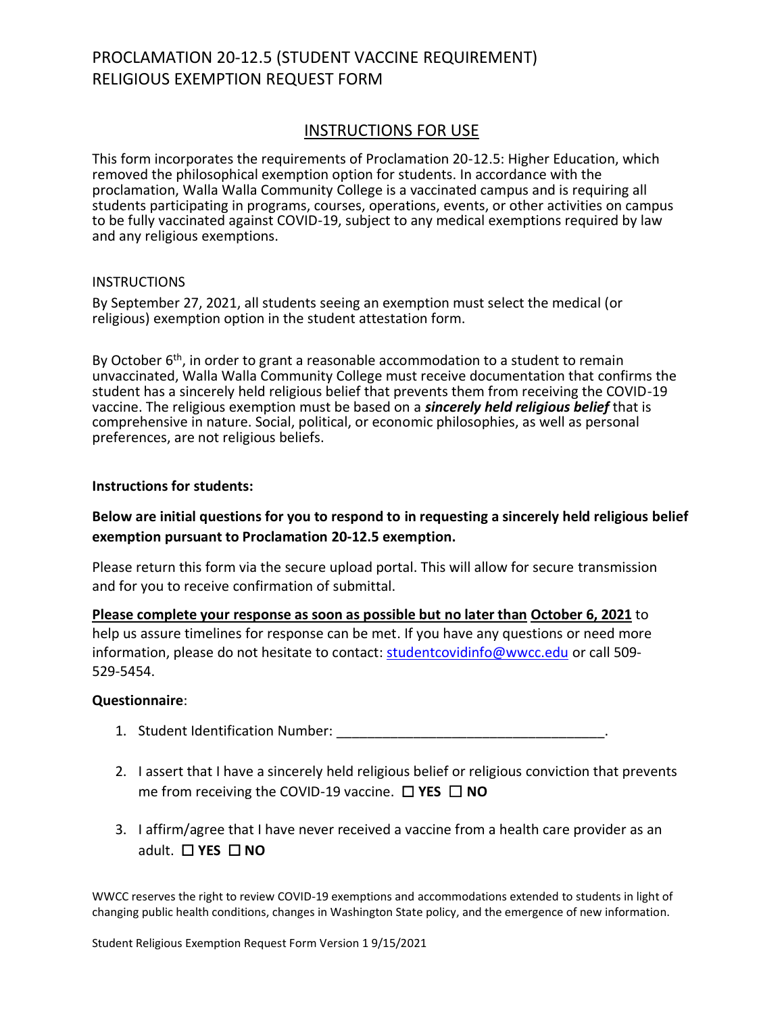# PROCLAMATION 20-12.5 (STUDENT VACCINE REQUIREMENT) RELIGIOUS EXEMPTION REQUEST FORM

## INSTRUCTIONS FOR USE

This form incorporates the requirements of Proclamation 20-12.5: Higher Education, which removed the philosophical exemption option for students. In accordance with the proclamation, Walla Walla Community College is a vaccinated campus and is requiring all students participating in programs, courses, operations, events, or other activities on campus to be fully vaccinated against COVID-19, subject to any medical exemptions required by law and any religious exemptions.

### INSTRUCTIONS

By September 27, 2021, all students seeing an exemption must select the medical (or religious) exemption option in the student attestation form.

By October 6<sup>th</sup>, in order to grant a reasonable accommodation to a student to remain unvaccinated, Walla Walla Community College must receive documentation that confirms the student has a sincerely held religious belief that prevents them from receiving the COVID-19 vaccine. The religious exemption must be based on a *sincerely held religious belief* that is comprehensive in nature. Social, political, or economic philosophies, as well as personal preferences, are not religious beliefs.

### **Instructions for students:**

### **Below are initial questions for you to respond to in requesting a sincerely held religious belief exemption pursuant to Proclamation 20-12.5 exemption.**

Please return this form via the secure upload portal. This will allow for secure transmission and for you to receive confirmation of submittal.

**Please complete your response as soon as possible but no later than October 6, 2021** to help us assure timelines for response can be met. If you have any questions or need more information, please do not hesitate to contact: [studentcovidinfo@wwcc.edu](mailto:studentcovidinfo@wwcc.edu) or call 509- 529-5454.

#### **Questionnaire**:

- 1. Student Identification Number: \_\_\_\_\_\_\_\_\_\_\_\_\_\_\_\_\_\_\_\_\_\_\_\_\_\_\_\_\_\_\_\_\_\_\_.
- 2. I assert that I have a sincerely held religious belief or religious conviction that prevents me from receiving the COVID-19 vaccine. ☐ **YES** ☐ **NO**
- 3. I affirm/agree that I have never received a vaccine from a health care provider as an adult. ☐ **YES** ☐ **NO**

WWCC reserves the right to review COVID-19 exemptions and accommodations extended to students in light of changing public health conditions, changes in Washington State policy, and the emergence of new information.

Student Religious Exemption Request Form Version 1 9/15/2021